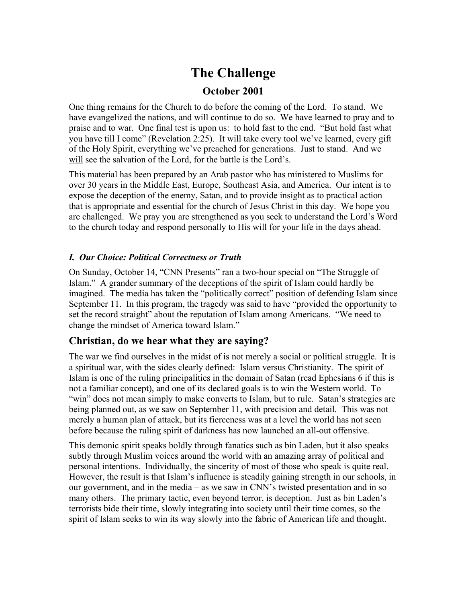# **The Challenge**

## **October 2001**

One thing remains for the Church to do before the coming of the Lord. To stand. We have evangelized the nations, and will continue to do so. We have learned to pray and to praise and to war. One final test is upon us: to hold fast to the end. "But hold fast what you have till I come" (Revelation 2:25). It will take every tool we've learned, every gift of the Holy Spirit, everything we've preached for generations. Just to stand. And we will see the salvation of the Lord, for the battle is the Lord's.

This material has been prepared by an Arab pastor who has ministered to Muslims for over 30 years in the Middle East, Europe, Southeast Asia, and America. Our intent is to expose the deception of the enemy, Satan, and to provide insight as to practical action that is appropriate and essential for the church of Jesus Christ in this day. We hope you are challenged. We pray you are strengthened as you seek to understand the Lord's Word to the church today and respond personally to His will for your life in the days ahead.

### *I. Our Choice: Political Correctness or Truth*

On Sunday, October 14, "CNN Presents" ran a two-hour special on "The Struggle of Islam." A grander summary of the deceptions of the spirit of Islam could hardly be imagined. The media has taken the "politically correct" position of defending Islam since September 11. In this program, the tragedy was said to have "provided the opportunity to set the record straight" about the reputation of Islam among Americans. "We need to change the mindset of America toward Islam."

## **Christian, do we hear what they are saying?**

The war we find ourselves in the midst of is not merely a social or political struggle. It is a spiritual war, with the sides clearly defined: Islam versus Christianity. The spirit of Islam is one of the ruling principalities in the domain of Satan (read Ephesians 6 if this is not a familiar concept), and one of its declared goals is to win the Western world. To "win" does not mean simply to make converts to Islam, but to rule. Satan's strategies are being planned out, as we saw on September 11, with precision and detail. This was not merely a human plan of attack, but its fierceness was at a level the world has not seen before because the ruling spirit of darkness has now launched an all-out offensive.

This demonic spirit speaks boldly through fanatics such as bin Laden, but it also speaks subtly through Muslim voices around the world with an amazing array of political and personal intentions. Individually, the sincerity of most of those who speak is quite real. However, the result is that Islam's influence is steadily gaining strength in our schools, in our government, and in the media – as we saw in CNN's twisted presentation and in so many others. The primary tactic, even beyond terror, is deception. Just as bin Laden's terrorists bide their time, slowly integrating into society until their time comes, so the spirit of Islam seeks to win its way slowly into the fabric of American life and thought.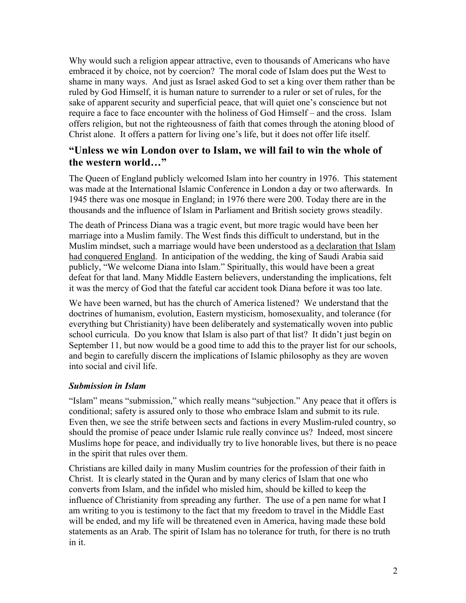Why would such a religion appear attractive, even to thousands of Americans who have embraced it by choice, not by coercion? The moral code of Islam does put the West to shame in many ways. And just as Israel asked God to set a king over them rather than be ruled by God Himself, it is human nature to surrender to a ruler or set of rules, for the sake of apparent security and superficial peace, that will quiet one's conscience but not require a face to face encounter with the holiness of God Himself – and the cross. Islam offers religion, but not the righteousness of faith that comes through the atoning blood of Christ alone. It offers a pattern for living one's life, but it does not offer life itself.

## **"Unless we win London over to Islam, we will fail to win the whole of the western world…"**

The Queen of England publicly welcomed Islam into her country in 1976. This statement was made at the International Islamic Conference in London a day or two afterwards. In 1945 there was one mosque in England; in 1976 there were 200. Today there are in the thousands and the influence of Islam in Parliament and British society grows steadily.

The death of Princess Diana was a tragic event, but more tragic would have been her marriage into a Muslim family. The West finds this difficult to understand, but in the Muslim mindset, such a marriage would have been understood as a declaration that Islam had conquered England. In anticipation of the wedding, the king of Saudi Arabia said publicly, "We welcome Diana into Islam." Spiritually, this would have been a great defeat for that land. Many Middle Eastern believers, understanding the implications, felt it was the mercy of God that the fateful car accident took Diana before it was too late.

We have been warned, but has the church of America listened? We understand that the doctrines of humanism, evolution, Eastern mysticism, homosexuality, and tolerance (for everything but Christianity) have been deliberately and systematically woven into public school curricula. Do you know that Islam is also part of that list? It didn't just begin on September 11, but now would be a good time to add this to the prayer list for our schools, and begin to carefully discern the implications of Islamic philosophy as they are woven into social and civil life.

### *Submission in Islam*

"Islam" means "submission," which really means "subjection." Any peace that it offers is conditional; safety is assured only to those who embrace Islam and submit to its rule. Even then, we see the strife between sects and factions in every Muslim-ruled country, so should the promise of peace under Islamic rule really convince us? Indeed, most sincere Muslims hope for peace, and individually try to live honorable lives, but there is no peace in the spirit that rules over them.

Christians are killed daily in many Muslim countries for the profession of their faith in Christ. It is clearly stated in the Quran and by many clerics of Islam that one who converts from Islam, and the infidel who misled him, should be killed to keep the influence of Christianity from spreading any further. The use of a pen name for what I am writing to you is testimony to the fact that my freedom to travel in the Middle East will be ended, and my life will be threatened even in America, having made these bold statements as an Arab. The spirit of Islam has no tolerance for truth, for there is no truth in it.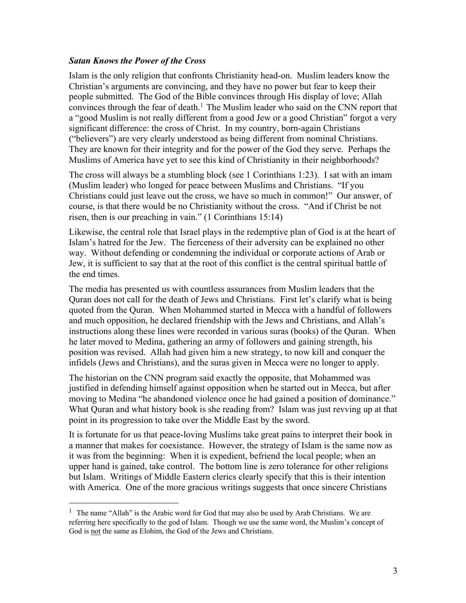#### *Satan Knows the Power of the Cross*

Islam is the only religion that confronts Christianity head-on. Muslim leaders know the Christian's arguments are convincing, and they have no power but fear to keep their people submitted. The God of the Bible convinces through His display of love; Allah convinces through the fear of death.<sup>1</sup> The Muslim leader who said on the CNN report that a "good Muslim is not really different from a good Jew or a good Christian" forgot a very significant difference: the cross of Christ. In my country, born-again Christians ("believers") are very clearly understood as being different from nominal Christians. They are known for their integrity and for the power of the God they serve. Perhaps the Muslims of America have yet to see this kind of Christianity in their neighborhoods?

The cross will always be a stumbling block (see 1 Corinthians 1:23). I sat with an imam (Muslim leader) who longed for peace between Muslims and Christians. "If you Christians could just leave out the cross, we have so much in common!" Our answer, of course, is that there would be no Christianity without the cross. "And if Christ be not risen, then is our preaching in vain." (1 Corinthians 15:14)

Likewise, the central role that Israel plays in the redemptive plan of God is at the heart of Islam's hatred for the Jew. The fierceness of their adversity can be explained no other way. Without defending or condemning the individual or corporate actions of Arab or Jew, it is sufficient to say that at the root of this conflict is the central spiritual battle of the end times.

The media has presented us with countless assurances from Muslim leaders that the Quran does not call for the death of Jews and Christians. First let's clarify what is being quoted from the Quran. When Mohammed started in Mecca with a handful of followers and much opposition, he declared friendship with the Jews and Christians, and Allah's instructions along these lines were recorded in various suras (books) of the Quran. When he later moved to Medina, gathering an army of followers and gaining strength, his position was revised. Allah had given him a new strategy, to now kill and conquer the infidels (Jews and Christians), and the suras given in Mecca were no longer to apply.

The historian on the CNN program said exactly the opposite, that Mohammed was justified in defending himself against opposition when he started out in Mecca, but after moving to Medina "he abandoned violence once he had gained a position of dominance." What Quran and what history book is she reading from? Islam was just revying up at that point in its progression to take over the Middle East by the sword.

It is fortunate for us that peace-loving Muslims take great pains to interpret their book in a manner that makes for coexistance. However, the strategy of Islam is the same now as it was from the beginning: When it is expedient, befriend the local people; when an upper hand is gained, take control. The bottom line is zero tolerance for other religions but Islam. Writings of Middle Eastern clerics clearly specify that this is their intention with America. One of the more gracious writings suggests that once sincere Christians

<sup>&</sup>lt;sup>1</sup> The name "Allah" is the Arabic word for God that may also be used by Arab Christians. We are referring here specifically to the god of Islam. Though we use the same word, the Muslim's concept of God is not the same as Elohim, the God of the Jews and Christians.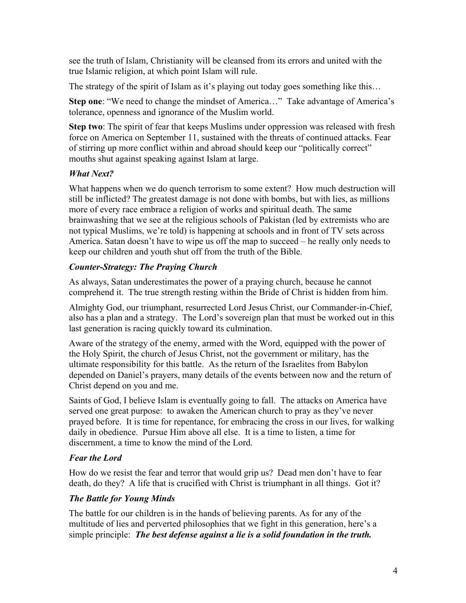see the truth of Islam, Christianity will be cleansed from its errors and united with the true Islamic religion, at which point Islam will rule.

The strategy of the spirit of Islam as it's playing out today goes something like this...

**Step one**: "We need to change the mindset of America…" Take advantage of America's tolerance, openness and ignorance of the Muslim world.

**Step two**: The spirit of fear that keeps Muslims under oppression was released with fresh force on America on September 11, sustained with the threats of continued attacks. Fear of stirring up more conflict within and abroad should keep our "politically correct" mouths shut against speaking against Islam at large.

## *What Next?*

What happens when we do quench terrorism to some extent? How much destruction will still be inflicted? The greatest damage is not done with bombs, but with lies, as millions more of every race embrace a religion of works and spiritual death. The same brainwashing that we see at the religious schools of Pakistan (led by extremists who are not typical Muslims, we're told) is happening at schools and in front of TV sets across America. Satan doesn't have to wipe us off the map to succeed – he really only needs to keep our children and youth shut off from the truth of the Bible.

### *Counter-Strategy: The Praying Church*

As always, Satan underestimates the power of a praying church, because he cannot comprehend it. The true strength resting within the Bride of Christ is hidden from him.

Almighty God, our triumphant, resurrected Lord Jesus Christ, our Commander-in-Chief, also has a plan and a strategy. The Lord's sovereign plan that must be worked out in this last generation is racing quickly toward its culmination.

Aware of the strategy of the enemy, armed with the Word, equipped with the power of the Holy Spirit, the church of Jesus Christ, not the government or military, has the ultimate responsibility for this battle. As the return of the Israelites from Babylon depended on Daniel's prayers, many details of the events between now and the return of Christ depend on you and me.

Saints of God, I believe Islam is eventually going to fall. The attacks on America have served one great purpose: to awaken the American church to pray as they've never prayed before. It is time for repentance, for embracing the cross in our lives, for walking daily in obedience. Pursue Him above all else. It is a time to listen, a time for discernment, a time to know the mind of the Lord.

### *Fear the Lord*

How do we resist the fear and terror that would grip us? Dead men don't have to fear death, do they? A life that is crucified with Christ is triumphant in all things. Got it?

## *The Battle for Young Minds*

The battle for our children is in the hands of believing parents. As for any of the multitude of lies and perverted philosophies that we fight in this generation, here's a simple principle: *The best defense against a lie is a solid foundation in the truth.*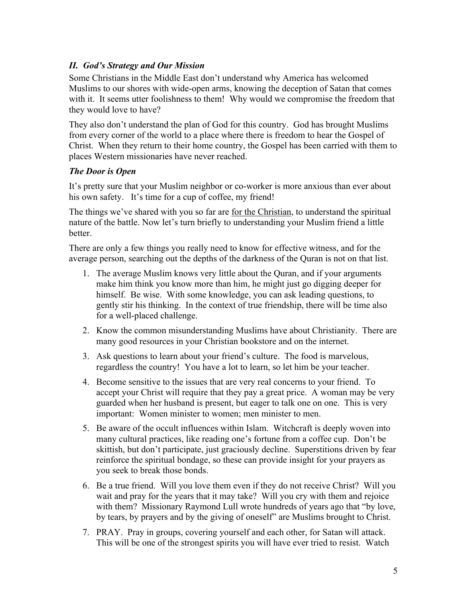### *II. God's Strategy and Our Mission*

Some Christians in the Middle East don't understand why America has welcomed Muslims to our shores with wide-open arms, knowing the deception of Satan that comes with it. It seems utter foolishness to them! Why would we compromise the freedom that they would love to have?

They also don't understand the plan of God for this country. God has brought Muslims from every corner of the world to a place where there is freedom to hear the Gospel of Christ. When they return to their home country, the Gospel has been carried with them to places Western missionaries have never reached.

### *The Door is Open*

It's pretty sure that your Muslim neighbor or co-worker is more anxious than ever about his own safety. It's time for a cup of coffee, my friend!

The things we've shared with you so far are <u>for the Christian</u>, to understand the spiritual nature of the battle. Now let's turn briefly to understanding your Muslim friend a little better.

There are only a few things you really need to know for effective witness, and for the average person, searching out the depths of the darkness of the Quran is not on that list.

- 1. The average Muslim knows very little about the Quran, and if your arguments make him think you know more than him, he might just go digging deeper for himself. Be wise. With some knowledge, you can ask leading questions, to gently stir his thinking. In the context of true friendship, there will be time also for a well-placed challenge.
- 2. Know the common misunderstanding Muslims have about Christianity. There are many good resources in your Christian bookstore and on the internet.
- 3. Ask questions to learn about your friend's culture. The food is marvelous, regardless the country! You have a lot to learn, so let him be your teacher.
- 4. Become sensitive to the issues that are very real concerns to your friend. To accept your Christ will require that they pay a great price. A woman may be very guarded when her husband is present, but eager to talk one on one. This is very important: Women minister to women; men minister to men.
- 5. Be aware of the occult influences within Islam. Witchcraft is deeply woven into many cultural practices, like reading one's fortune from a coffee cup. Don't be skittish, but don't participate, just graciously decline. Superstitions driven by fear reinforce the spiritual bondage, so these can provide insight for your prayers as you seek to break those bonds.
- 6. Be a true friend. Will you love them even if they do not receive Christ? Will you wait and pray for the years that it may take? Will you cry with them and rejoice with them? Missionary Raymond Lull wrote hundreds of years ago that "by love, by tears, by prayers and by the giving of oneself" are Muslims brought to Christ.
- 7. PRAY. Pray in groups, covering yourself and each other, for Satan will attack. This will be one of the strongest spirits you will have ever tried to resist. Watch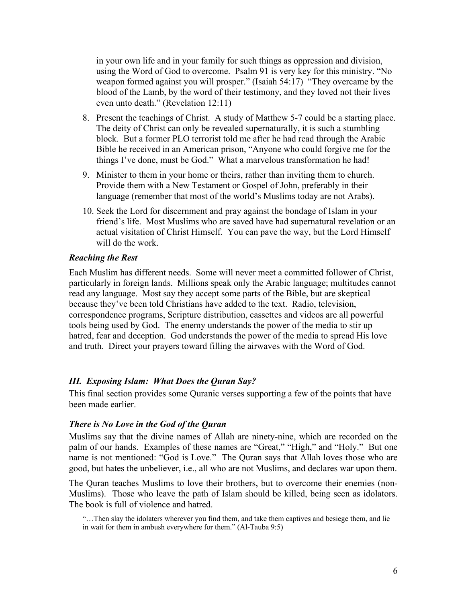in your own life and in your family for such things as oppression and division, using the Word of God to overcome. Psalm 91 is very key for this ministry. "No weapon formed against you will prosper." (Isaiah 54:17) "They overcame by the blood of the Lamb, by the word of their testimony, and they loved not their lives even unto death." (Revelation 12:11)

- 8. Present the teachings of Christ. A study of Matthew 5-7 could be a starting place. The deity of Christ can only be revealed supernaturally, it is such a stumbling block. But a former PLO terrorist told me after he had read through the Arabic Bible he received in an American prison, "Anyone who could forgive me for the things I've done, must be God." What a marvelous transformation he had!
- 9. Minister to them in your home or theirs, rather than inviting them to church. Provide them with a New Testament or Gospel of John, preferably in their language (remember that most of the world's Muslims today are not Arabs).
- 10. Seek the Lord for discernment and pray against the bondage of Islam in your friend's life. Most Muslims who are saved have had supernatural revelation or an actual visitation of Christ Himself. You can pave the way, but the Lord Himself will do the work.

#### *Reaching the Rest*

Each Muslim has different needs. Some will never meet a committed follower of Christ, particularly in foreign lands. Millions speak only the Arabic language; multitudes cannot read any language. Most say they accept some parts of the Bible, but are skeptical because they've been told Christians have added to the text. Radio, television, correspondence programs, Scripture distribution, cassettes and videos are all powerful tools being used by God. The enemy understands the power of the media to stir up hatred, fear and deception. God understands the power of the media to spread His love and truth. Direct your prayers toward filling the airwaves with the Word of God.

### *III. Exposing Islam: What Does the Quran Say?*

This final section provides some Quranic verses supporting a few of the points that have been made earlier.

#### *There is No Love in the God of the Quran*

Muslims say that the divine names of Allah are ninety-nine, which are recorded on the palm of our hands. Examples of these names are "Great," "High," and "Holy." But one name is not mentioned: "God is Love." The Quran says that Allah loves those who are good, but hates the unbeliever, i.e., all who are not Muslims, and declares war upon them.

The Quran teaches Muslims to love their brothers, but to overcome their enemies (non-Muslims). Those who leave the path of Islam should be killed, being seen as idolators. The book is full of violence and hatred.

"…Then slay the idolaters wherever you find them, and take them captives and besiege them, and lie in wait for them in ambush everywhere for them." (Al-Tauba 9:5)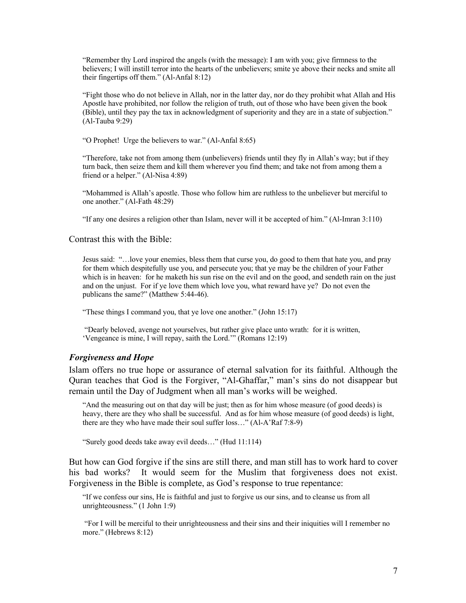"Remember thy Lord inspired the angels (with the message): I am with you; give firmness to the believers; I will instill terror into the hearts of the unbelievers; smite ye above their necks and smite all their fingertips off them." (Al-Anfal 8:12)

"Fight those who do not believe in Allah, nor in the latter day, nor do they prohibit what Allah and His Apostle have prohibited, nor follow the religion of truth, out of those who have been given the book (Bible), until they pay the tax in acknowledgment of superiority and they are in a state of subjection." (Al-Tauba 9:29)

"O Prophet! Urge the believers to war." (Al-Anfal 8:65)

"Therefore, take not from among them (unbelievers) friends until they fly in Allah's way; but if they turn back, then seize them and kill them wherever you find them; and take not from among them a friend or a helper." (Al-Nisa 4:89)

"Mohammed is Allah's apostle. Those who follow him are ruthless to the unbeliever but merciful to one another." (Al-Fath 48:29)

"If any one desires a religion other than Islam, never will it be accepted of him." (Al-Imran 3:110)

Contrast this with the Bible:

Jesus said: "…love your enemies, bless them that curse you, do good to them that hate you, and pray for them which despitefully use you, and persecute you; that ye may be the children of your Father which is in heaven: for he maketh his sun rise on the evil and on the good, and sendeth rain on the just and on the unjust. For if ye love them which love you, what reward have ye? Do not even the publicans the same?" (Matthew 5:44-46).

"These things I command you, that ye love one another." (John 15:17)

"Dearly beloved, avenge not yourselves, but rather give place unto wrath: for it is written, 'Vengeance is mine, I will repay, saith the Lord.'" (Romans 12:19)

#### *Forgiveness and Hope*

Islam offers no true hope or assurance of eternal salvation for its faithful. Although the Quran teaches that God is the Forgiver, "Al-Ghaffar," man's sins do not disappear but remain until the Day of Judgment when all man's works will be weighed.

"And the measuring out on that day will be just; then as for him whose measure (of good deeds) is heavy, there are they who shall be successful. And as for him whose measure (of good deeds) is light, there are they who have made their soul suffer loss…" (Al-A'Raf 7:8-9)

"Surely good deeds take away evil deeds…" (Hud 11:114)

But how can God forgive if the sins are still there, and man still has to work hard to cover his bad works? It would seem for the Muslim that forgiveness does not exist. Forgiveness in the Bible is complete, as God's response to true repentance:

"If we confess our sins, He is faithful and just to forgive us our sins, and to cleanse us from all unrighteousness." (1 John 1:9)

"For I will be merciful to their unrighteousness and their sins and their iniquities will I remember no more." (Hebrews 8:12)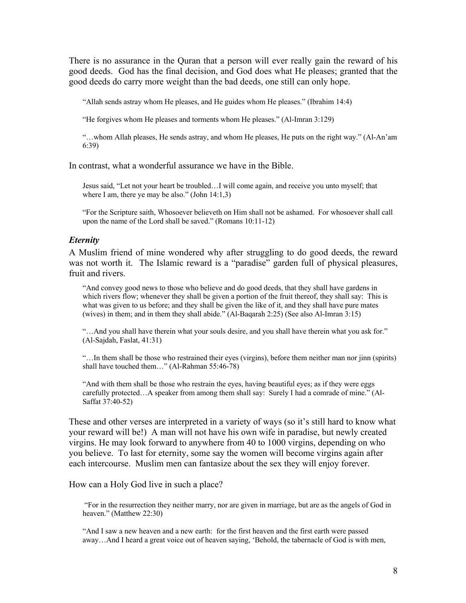There is no assurance in the Quran that a person will ever really gain the reward of his good deeds. God has the final decision, and God does what He pleases; granted that the good deeds do carry more weight than the bad deeds, one still can only hope.

"Allah sends astray whom He pleases, and He guides whom He pleases." (Ibrahim 14:4)

"He forgives whom He pleases and torments whom He pleases." (Al-Imran 3:129)

"…whom Allah pleases, He sends astray, and whom He pleases, He puts on the right way." (Al-An'am 6:39)

In contrast, what a wonderful assurance we have in the Bible.

Jesus said, "Let not your heart be troubled…I will come again, and receive you unto myself; that where I am, there ye may be also." (John 14:1,3)

"For the Scripture saith, Whosoever believeth on Him shall not be ashamed. For whosoever shall call upon the name of the Lord shall be saved." (Romans 10:11-12)

#### *Eternity*

A Muslim friend of mine wondered why after struggling to do good deeds, the reward was not worth it. The Islamic reward is a "paradise" garden full of physical pleasures, fruit and rivers.

"And convey good news to those who believe and do good deeds, that they shall have gardens in which rivers flow; whenever they shall be given a portion of the fruit thereof, they shall say: This is what was given to us before; and they shall be given the like of it, and they shall have pure mates (wives) in them; and in them they shall abide." (Al-Baqarah 2:25) (See also Al-Imran 3:15)

"…And you shall have therein what your souls desire, and you shall have therein what you ask for." (Al-Sajdah, Faslat, 41:31)

"…In them shall be those who restrained their eyes (virgins), before them neither man nor jinn (spirits) shall have touched them…" (Al-Rahman 55:46-78)

"And with them shall be those who restrain the eyes, having beautiful eyes; as if they were eggs carefully protected…A speaker from among them shall say: Surely I had a comrade of mine." (Al-Saffat 37:40-52)

These and other verses are interpreted in a variety of ways (so it's still hard to know what your reward will be!) A man will not have his own wife in paradise, but newly created virgins. He may look forward to anywhere from 40 to 1000 virgins, depending on who you believe. To last for eternity, some say the women will become virgins again after each intercourse. Muslim men can fantasize about the sex they will enjoy forever.

#### How can a Holy God live in such a place?

"For in the resurrection they neither marry, nor are given in marriage, but are as the angels of God in heaven." (Matthew 22:30)

"And I saw a new heaven and a new earth: for the first heaven and the first earth were passed away…And I heard a great voice out of heaven saying, 'Behold, the tabernacle of God is with men,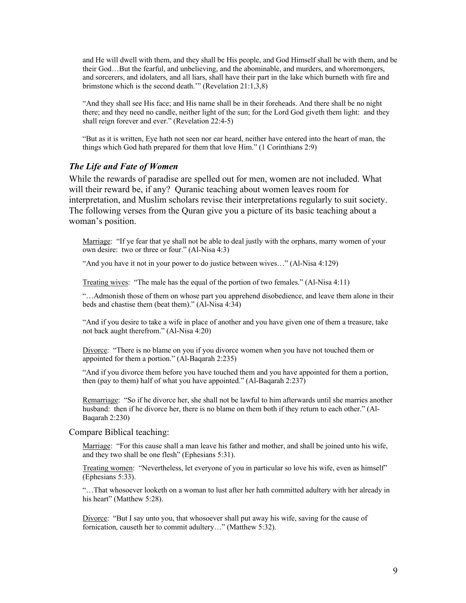and He will dwell with them, and they shall be His people, and God Himself shall be with them, and be their God…But the fearful, and unbelieving, and the abominable, and murders, and whoremongers, and sorcerers, and idolaters, and all liars, shall have their part in the lake which burneth with fire and brimstone which is the second death.'" (Revelation 21:1,3,8)

"And they shall see His face; and His name shall be in their foreheads. And there shall be no night there; and they need no candle, neither light of the sun; for the Lord God giveth them light: and they shall reign forever and ever." (Revelation 22:4-5)

"But as it is written, Eye hath not seen nor ear heard, neither have entered into the heart of man, the things which God hath prepared for them that love Him." (1 Corinthians 2:9)

#### *The Life and Fate of Women*

While the rewards of paradise are spelled out for men, women are not included. What will their reward be, if any? Quranic teaching about women leaves room for interpretation, and Muslim scholars revise their interpretations regularly to suit society. The following verses from the Quran give you a picture of its basic teaching about a woman's position.

Marriage: "If ye fear that ye shall not be able to deal justly with the orphans, marry women of your own desire: two or three or four." (Al-Nisa 4:3)

"And you have it not in your power to do justice between wives…" (Al-Nisa 4:129)

Treating wives: "The male has the equal of the portion of two females." (Al-Nisa 4:11)

"…Admonish those of them on whose part you apprehend disobedience, and leave them alone in their beds and chastise them (beat them)." (Al-Nisa 4:34)

"And if you desire to take a wife in place of another and you have given one of them a treasure, take not back aught therefrom." (Al-Nisa 4:20)

Divorce: "There is no blame on you if you divorce women when you have not touched them or appointed for them a portion." (Al-Baqarah 2:235)

"And if you divorce them before you have touched them and you have appointed for them a portion, then (pay to them) half of what you have appointed." (Al-Baqarah 2:237)

Remarriage: "So if he divorce her, she shall not be lawful to him afterwards until she marries another husband: then if he divorce her, there is no blame on them both if they return to each other." (Al-Baqarah 2:230)

#### Compare Biblical teaching:

Marriage: "For this cause shall a man leave his father and mother, and shall be joined unto his wife, and they two shall be one flesh" (Ephesians 5:31).

Treating women: "Nevertheless, let everyone of you in particular so love his wife, even as himself" (Ephesians 5:33).

"…That whosoever looketh on a woman to lust after her hath committed adultery with her already in his heart" (Matthew 5:28).

Divorce: "But I say unto you, that whosoever shall put away his wife, saving for the cause of fornication, causeth her to commit adultery…" (Matthew 5:32).